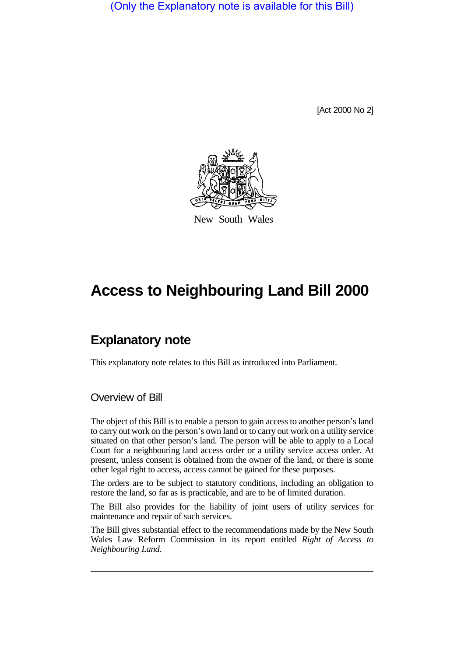(Only the Explanatory note is available for this Bill)

[Act 2000 No 2]



New South Wales

# **Access to Neighbouring Land Bill 2000**

# **Explanatory note**

This explanatory note relates to this Bill as introduced into Parliament.

### Overview of Bill

The object of this Bill is to enable a person to gain access to another person's land to carry out work on the person's own land or to carry out work on a utility service situated on that other person's land. The person will be able to apply to a Local Court for a neighbouring land access order or a utility service access order. At present, unless consent is obtained from the owner of the land, or there is some other legal right to access, access cannot be gained for these purposes.

The orders are to be subject to statutory conditions, including an obligation to restore the land, so far as is practicable, and are to be of limited duration.

The Bill also provides for the liability of joint users of utility services for maintenance and repair of such services.

The Bill gives substantial effect to the recommendations made by the New South Wales Law Reform Commission in its report entitled *Right of Access to Neighbouring Land*.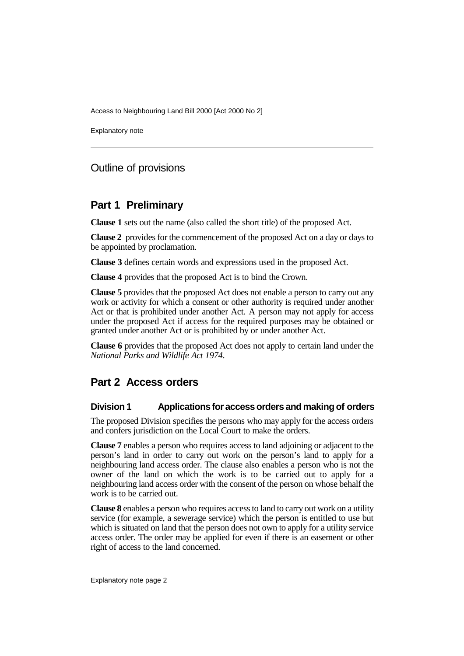Explanatory note

## Outline of provisions

## **Part 1 Preliminary**

**Clause 1** sets out the name (also called the short title) of the proposed Act.

**Clause 2** provides for the commencement of the proposed Act on a day or days to be appointed by proclamation.

**Clause 3** defines certain words and expressions used in the proposed Act.

**Clause 4** provides that the proposed Act is to bind the Crown.

**Clause 5** provides that the proposed Act does not enable a person to carry out any work or activity for which a consent or other authority is required under another Act or that is prohibited under another Act. A person may not apply for access under the proposed Act if access for the required purposes may be obtained or granted under another Act or is prohibited by or under another Act.

**Clause 6** provides that the proposed Act does not apply to certain land under the *National Parks and Wildlife Act 1974*.

# **Part 2 Access orders**

#### **Division 1 Applications for access orders and making of orders**

The proposed Division specifies the persons who may apply for the access orders and confers jurisdiction on the Local Court to make the orders.

**Clause 7** enables a person who requires access to land adjoining or adjacent to the person's land in order to carry out work on the person's land to apply for a neighbouring land access order. The clause also enables a person who is not the owner of the land on which the work is to be carried out to apply for a neighbouring land access order with the consent of the person on whose behalf the work is to be carried out.

**Clause 8** enables a person who requires access to land to carry out work on a utility service (for example, a sewerage service) which the person is entitled to use but which is situated on land that the person does not own to apply for a utility service access order. The order may be applied for even if there is an easement or other right of access to the land concerned.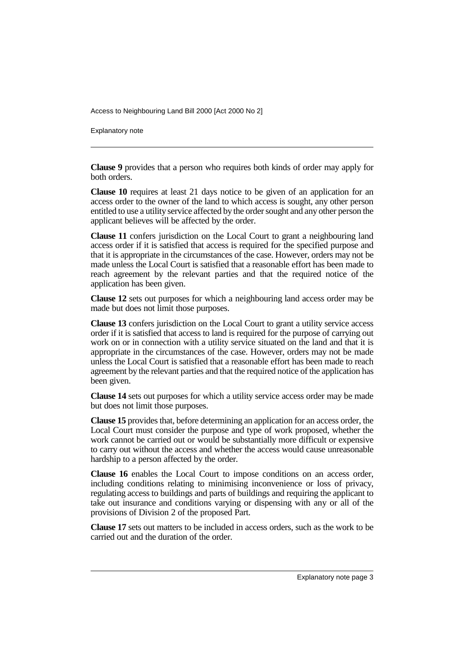Explanatory note

**Clause 9** provides that a person who requires both kinds of order may apply for both orders.

**Clause 10** requires at least 21 days notice to be given of an application for an access order to the owner of the land to which access is sought, any other person entitled to use a utility service affected by the order sought and any other person the applicant believes will be affected by the order.

**Clause 11** confers jurisdiction on the Local Court to grant a neighbouring land access order if it is satisfied that access is required for the specified purpose and that it is appropriate in the circumstances of the case. However, orders may not be made unless the Local Court is satisfied that a reasonable effort has been made to reach agreement by the relevant parties and that the required notice of the application has been given.

**Clause 12** sets out purposes for which a neighbouring land access order may be made but does not limit those purposes.

**Clause 13** confers jurisdiction on the Local Court to grant a utility service access order if it is satisfied that access to land is required for the purpose of carrying out work on or in connection with a utility service situated on the land and that it is appropriate in the circumstances of the case. However, orders may not be made unless the Local Court is satisfied that a reasonable effort has been made to reach agreement by the relevant parties and that the required notice of the application has been given.

**Clause 14** sets out purposes for which a utility service access order may be made but does not limit those purposes.

**Clause 15** provides that, before determining an application for an access order, the Local Court must consider the purpose and type of work proposed, whether the work cannot be carried out or would be substantially more difficult or expensive to carry out without the access and whether the access would cause unreasonable hardship to a person affected by the order.

**Clause 16** enables the Local Court to impose conditions on an access order, including conditions relating to minimising inconvenience or loss of privacy, regulating access to buildings and parts of buildings and requiring the applicant to take out insurance and conditions varying or dispensing with any or all of the provisions of Division 2 of the proposed Part.

**Clause 17** sets out matters to be included in access orders, such as the work to be carried out and the duration of the order.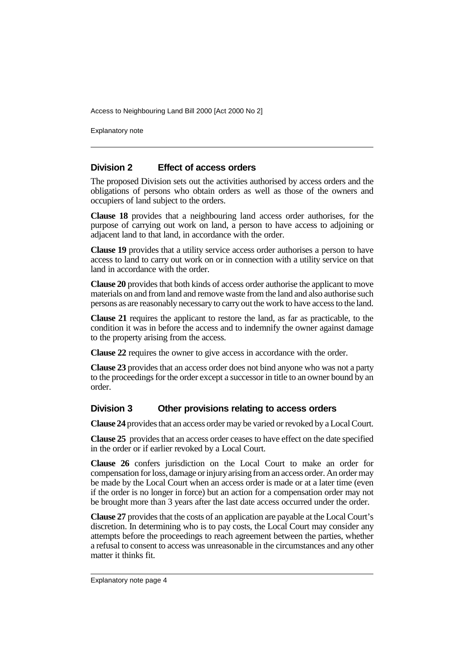Explanatory note

#### **Division 2 Effect of access orders**

The proposed Division sets out the activities authorised by access orders and the obligations of persons who obtain orders as well as those of the owners and occupiers of land subject to the orders.

**Clause 18** provides that a neighbouring land access order authorises, for the purpose of carrying out work on land, a person to have access to adjoining or adjacent land to that land, in accordance with the order.

**Clause 19** provides that a utility service access order authorises a person to have access to land to carry out work on or in connection with a utility service on that land in accordance with the order.

**Clause 20** provides that both kinds of access order authorise the applicant to move materials on and from land and remove waste from the land and also authorise such persons as are reasonably necessary to carry out the work to have access to the land.

**Clause 21** requires the applicant to restore the land, as far as practicable, to the condition it was in before the access and to indemnify the owner against damage to the property arising from the access.

**Clause 22** requires the owner to give access in accordance with the order.

**Clause 23** provides that an access order does not bind anyone who was not a party to the proceedings for the order except a successor in title to an owner bound by an order.

#### **Division 3 Other provisions relating to access orders**

**Clause 24** provides that an access order may be varied or revoked by a Local Court.

**Clause 25** provides that an access order ceases to have effect on the date specified in the order or if earlier revoked by a Local Court.

**Clause 26** confers jurisdiction on the Local Court to make an order for compensation for loss, damage or injury arising from an access order. An order may be made by the Local Court when an access order is made or at a later time (even if the order is no longer in force) but an action for a compensation order may not be brought more than 3 years after the last date access occurred under the order.

**Clause 27** provides that the costs of an application are payable at the Local Court's discretion. In determining who is to pay costs, the Local Court may consider any attempts before the proceedings to reach agreement between the parties, whether a refusal to consent to access was unreasonable in the circumstances and any other matter it thinks fit.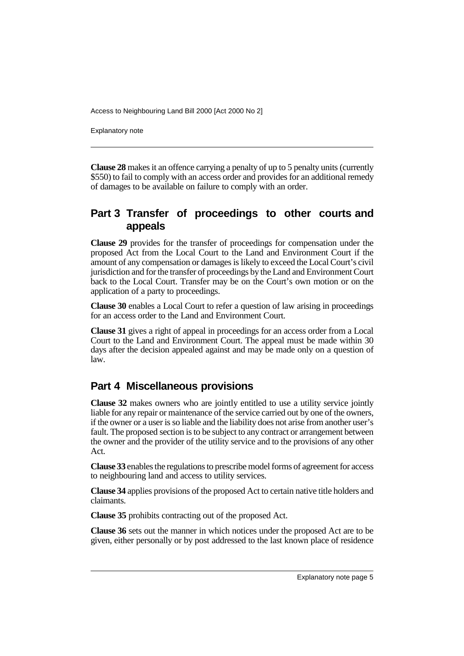Explanatory note

**Clause 28** makes it an offence carrying a penalty of up to 5 penalty units (currently \$550) to fail to comply with an access order and provides for an additional remedy of damages to be available on failure to comply with an order.

## **Part 3 Transfer of proceedings to other courts and appeals**

**Clause 29** provides for the transfer of proceedings for compensation under the proposed Act from the Local Court to the Land and Environment Court if the amount of any compensation or damages is likely to exceed the Local Court's civil jurisdiction and for the transfer of proceedings by the Land and Environment Court back to the Local Court. Transfer may be on the Court's own motion or on the application of a party to proceedings.

**Clause 30** enables a Local Court to refer a question of law arising in proceedings for an access order to the Land and Environment Court.

**Clause 31** gives a right of appeal in proceedings for an access order from a Local Court to the Land and Environment Court. The appeal must be made within 30 days after the decision appealed against and may be made only on a question of law.

# **Part 4 Miscellaneous provisions**

**Clause 32** makes owners who are jointly entitled to use a utility service jointly liable for any repair or maintenance of the service carried out by one of the owners, if the owner or a user is so liable and the liability does not arise from another user's fault. The proposed section is to be subject to any contract or arrangement between the owner and the provider of the utility service and to the provisions of any other Act.

**Clause 33** enables the regulations to prescribe model forms of agreement for access to neighbouring land and access to utility services.

**Clause 34** applies provisions of the proposed Act to certain native title holders and claimants.

**Clause 35** prohibits contracting out of the proposed Act.

**Clause 36** sets out the manner in which notices under the proposed Act are to be given, either personally or by post addressed to the last known place of residence